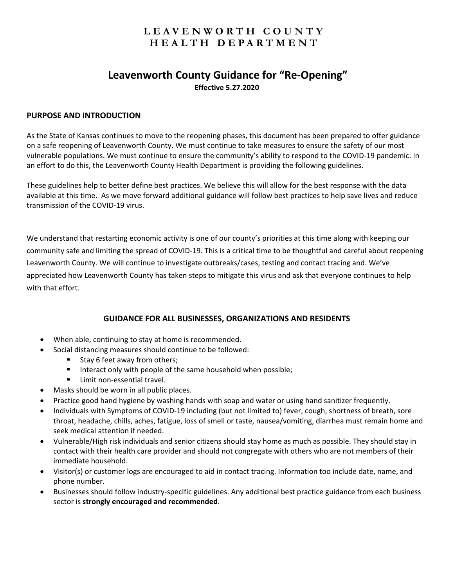# **LEAVENWORTH COUNTY HEALTH DEPARTMENT**

## **Leavenworth County Guidance for "Re‐Opening" Effective 5.27.2020**

#### **PURPOSE AND INTRODUCTION**

As the State of Kansas continues to move to the reopening phases, this document has been prepared to offer guidance on a safe reopening of Leavenworth County. We must continue to take measures to ensure the safety of our most vulnerable populations. We must continue to ensure the community's ability to respond to the COVID‐19 pandemic. In an effort to do this, the Leavenworth County Health Department is providing the following guidelines.

These guidelines help to better define best practices. We believe this will allow for the best response with the data available at this time. As we move forward additional guidance will follow best practices to help save lives and reduce transmission of the COVID‐19 virus.

We understand that restarting economic activity is one of our county's priorities at this time along with keeping our community safe and limiting the spread of COVID‐19. This is a critical time to be thoughtful and careful about reopening Leavenworth County. We will continue to investigate outbreaks/cases, testing and contact tracing and. We've appreciated how Leavenworth County has taken steps to mitigate this virus and ask that everyone continues to help with that effort.

#### **GUIDANCE FOR ALL BUSINESSES, ORGANIZATIONS AND RESIDENTS**

- When able, continuing to stay at home is recommended.
- Social distancing measures should continue to be followed:
	- Stay 6 feet away from others;
	- Interact only with people of the same household when possible;
	- Limit non-essential travel.
- Masks should be worn in all public places.
- Practice good hand hygiene by washing hands with soap and water or using hand sanitizer frequently.
- Individuals with Symptoms of COVID‐19 including (but not limited to) fever, cough, shortness of breath, sore throat, headache, chills, aches, fatigue, loss of smell or taste, nausea/vomiting, diarrhea must remain home and seek medical attention if needed.
- Vulnerable/High risk individuals and senior citizens should stay home as much as possible. They should stay in contact with their health care provider and should not congregate with others who are not members of their immediate household.
- Visitor(s) or customer logs are encouraged to aid in contact tracing. Information too include date, name, and phone number.
- Businesses should follow industry‐specific guidelines. Any additional best practice guidance from each business sector is **strongly encouraged and recommended**.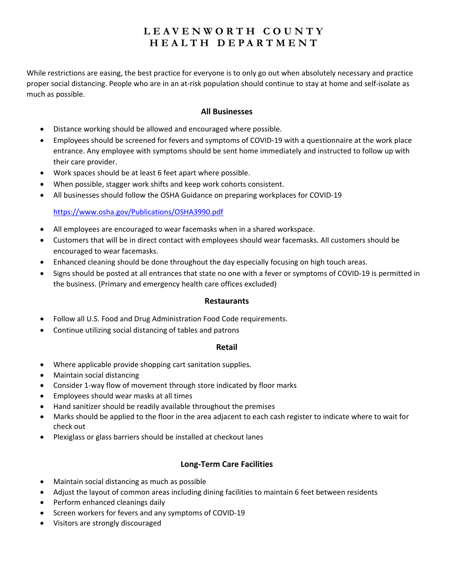# **LEAVENWORTH COUNTY HEALTH DEPARTMENT**

While restrictions are easing, the best practice for everyone is to only go out when absolutely necessary and practice proper social distancing. People who are in an at‐risk population should continue to stay at home and self‐isolate as much as possible.

#### **All Businesses**

- Distance working should be allowed and encouraged where possible.
- Employees should be screened for fevers and symptoms of COVID‐19 with a questionnaire at the work place entrance. Any employee with symptoms should be sent home immediately and instructed to follow up with their care provider.
- Work spaces should be at least 6 feet apart where possible.
- When possible, stagger work shifts and keep work cohorts consistent.
- All businesses should follow the OSHA Guidance on preparing workplaces for COVID‐19

### https://www.osha.gov/Publications/OSHA3990.pdf

- All employees are encouraged to wear facemasks when in a shared workspace.
- Customers that will be in direct contact with employees should wear facemasks. All customers should be encouraged to wear facemasks.
- Enhanced cleaning should be done throughout the day especially focusing on high touch areas.
- Signs should be posted at all entrances that state no one with a fever or symptoms of COVID‐19 is permitted in the business. (Primary and emergency health care offices excluded)

#### **Restaurants**

- Follow all U.S. Food and Drug Administration Food Code requirements.
- Continue utilizing social distancing of tables and patrons

#### **Retail**

- Where applicable provide shopping cart sanitation supplies.
- Maintain social distancing
- Consider 1-way flow of movement through store indicated by floor marks
- Employees should wear masks at all times
- Hand sanitizer should be readily available throughout the premises
- Marks should be applied to the floor in the area adjacent to each cash register to indicate where to wait for check out
- Plexiglass or glass barriers should be installed at checkout lanes

### **Long‐Term Care Facilities**

- Maintain social distancing as much as possible
- Adjust the layout of common areas including dining facilities to maintain 6 feet between residents
- Perform enhanced cleanings daily
- Screen workers for fevers and any symptoms of COVID-19
- Visitors are strongly discouraged